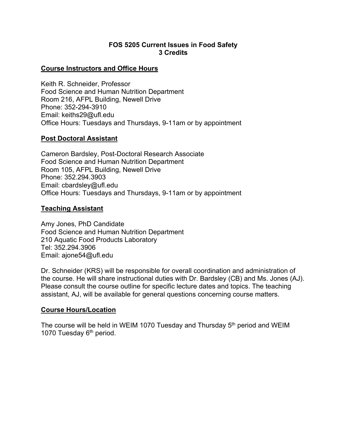### **FOS 5205 Current Issues in Food Safety 3 Credits**

#### **Course Instructors and Office Hours**

Keith R. Schneider, Professor Food Science and Human Nutrition Department Room 216, AFPL Building, Newell Drive Phone: 352-294-3910 Email: keiths29@ufl.edu Office Hours: Tuesdays and Thursdays, 9-11am or by appointment

### **Post Doctoral Assistant**

Cameron Bardsley, Post-Doctoral Research Associate Food Science and Human Nutrition Department Room 105, AFPL Building, Newell Drive Phone: 352.294.3903 Email: cbardsley@ufl.edu Office Hours: Tuesdays and Thursdays, 9-11am or by appointment

#### **Teaching Assistant**

Amy Jones, PhD Candidate Food Science and Human Nutrition Department 210 Aquatic Food Products Laboratory Tel: 352.294.3906 Email: ajone54@ufl.edu

Dr. Schneider (KRS) will be responsible for overall coordination and administration of the course. He will share instructional duties with Dr. Bardsley (CB) and Ms. Jones (AJ). Please consult the course outline for specific lecture dates and topics. The teaching assistant, AJ, will be available for general questions concerning course matters.

### **Course Hours/Location**

The course will be held in WEIM 1070 Tuesday and Thursday 5<sup>th</sup> period and WEIM 1070 Tuesday 6<sup>th</sup> period.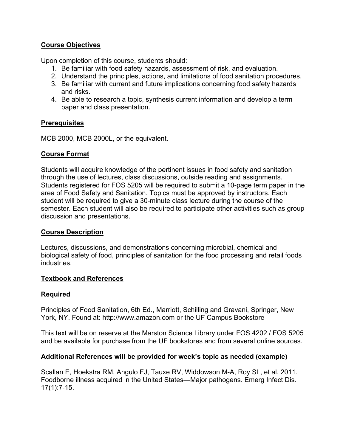# **Course Objectives**

Upon completion of this course, students should:

- 1. Be familiar with food safety hazards, assessment of risk, and evaluation.
- 2. Understand the principles, actions, and limitations of food sanitation procedures.
- 3. Be familiar with current and future implications concerning food safety hazards and risks.
- 4. Be able to research a topic, synthesis current information and develop a term paper and class presentation.

### **Prerequisites**

MCB 2000, MCB 2000L, or the equivalent.

### **Course Format**

Students will acquire knowledge of the pertinent issues in food safety and sanitation through the use of lectures, class discussions, outside reading and assignments. Students registered for FOS 5205 will be required to submit a 10-page term paper in the area of Food Safety and Sanitation. Topics must be approved by instructors. Each student will be required to give a 30-minute class lecture during the course of the semester. Each student will also be required to participate other activities such as group discussion and presentations.

## **Course Description**

Lectures, discussions, and demonstrations concerning microbial, chemical and biological safety of food, principles of sanitation for the food processing and retail foods industries.

### **Textbook and References**

## **Required**

Principles of Food Sanitation, 6th Ed., Marriott, Schilling and Gravani, Springer, New York, NY. Found at: http://www.amazon.com or the UF Campus Bookstore

This text will be on reserve at the Marston Science Library under FOS 4202 / FOS 5205 and be available for purchase from the UF bookstores and from several online sources.

## **Additional References will be provided for week's topic as needed (example)**

Scallan E, Hoekstra RM, Angulo FJ, Tauxe RV, Widdowson M-A, Roy SL, et al. 2011. Foodborne illness acquired in the United States—Major pathogens. Emerg Infect Dis. 17(1):7-15.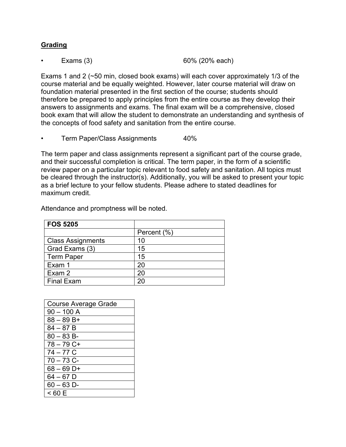## **Grading**

• Exams (3) 60% (20% each)

Exams 1 and 2 (~50 min, closed book exams) will each cover approximately 1/3 of the course material and be equally weighted. However, later course material will draw on foundation material presented in the first section of the course; students should therefore be prepared to apply principles from the entire course as they develop their answers to assignments and exams. The final exam will be a comprehensive, closed book exam that will allow the student to demonstrate an understanding and synthesis of the concepts of food safety and sanitation from the entire course.

Term Paper/Class Assignments 40%

The term paper and class assignments represent a significant part of the course grade, and their successful completion is critical. The term paper, in the form of a scientific review paper on a particular topic relevant to food safety and sanitation. All topics must be cleared through the instructor(s). Additionally, you will be asked to present your topic as a brief lecture to your fellow students. Please adhere to stated deadlines for maximum credit.

| <b>FOS 5205</b>          |             |
|--------------------------|-------------|
|                          | Percent (%) |
| <b>Class Assignments</b> | 10          |
| Grad Exams (3)           | 15          |
| <b>Term Paper</b>        | 15          |
| Exam 1                   | 20          |
| Exam 2                   | 20          |
| <b>Final Exam</b>        | 20          |

Attendance and promptness will be noted.

| <b>Course Average Grade</b> |
|-----------------------------|
| $90 - 100$ A                |
| $88 - 89B +$                |
| $84 - 87B$                  |
| $80 - 83 B$                 |
| $78 - 79$ C+                |
| $74 - 77$ C                 |
| $70 - 73$ C-                |
| $68 - 69$ D+                |
| $64 - 67$ D                 |
| $60 - 63$ D-                |
| < 60 E                      |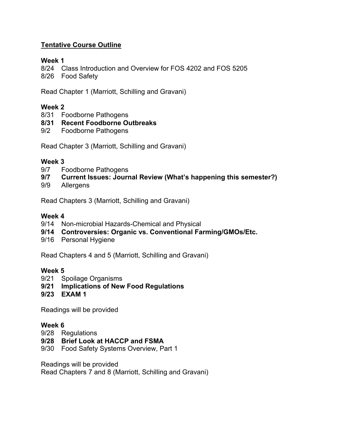# **Tentative Course Outline**

## **Week 1**

8/24 Class Introduction and Overview for FOS 4202 and FOS 5205

8/26 Food Safety

Read Chapter 1 (Marriott, Schilling and Gravani)

# **Week 2**

- 8/31 Foodborne Pathogens
- **8/31 Recent Foodborne Outbreaks**
- 9/2 Foodborne Pathogens

Read Chapter 3 (Marriott, Schilling and Gravani)

### **Week 3**

- 9/7 Foodborne Pathogens
- **9/7 Current Issues: Journal Review (What's happening this semester?)**
- 9/9 Allergens

Read Chapters 3 (Marriott, Schilling and Gravani)

### **Week 4**

- 9/14 Non-microbial Hazards-Chemical and Physical
- **9/14 Controversies: Organic vs. Conventional Farming/GMOs/Etc.**
- 9/16 Personal Hygiene

Read Chapters 4 and 5 (Marriott, Schilling and Gravani)

### **Week 5**

- 9/21 Spoilage Organisms
- **9/21 Implications of New Food Regulations**
- **9/23 EXAM 1**

Readings will be provided

### **Week 6**

- 9/28 Regulations
- **9/28 Brief Look at HACCP and FSMA**
- 9/30 Food Safety Systems Overview, Part 1

Readings will be provided Read Chapters 7 and 8 (Marriott, Schilling and Gravani)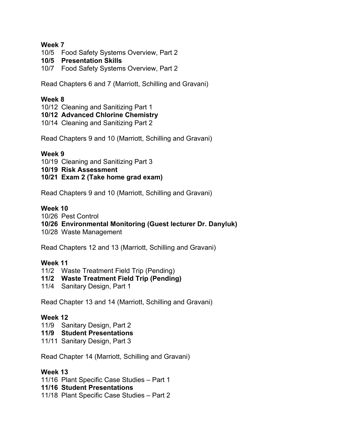### **Week 7**

- 10/5 Food Safety Systems Overview, Part 2
- **10/5 Presentation Skills**
- 10/7 Food Safety Systems Overview, Part 2

Read Chapters 6 and 7 (Marriott, Schilling and Gravani)

### **Week 8**

- 10/12 Cleaning and Sanitizing Part 1
- **10/12 Advanced Chlorine Chemistry**
- 10/14 Cleaning and Sanitizing Part 2

Read Chapters 9 and 10 (Marriott, Schilling and Gravani)

### **Week 9**

- 10/19 Cleaning and Sanitizing Part 3
- **10/19 Risk Assessment**
- **10/21 Exam 2 (Take home grad exam)**

Read Chapters 9 and 10 (Marriott, Schilling and Gravani)

### **Week 10**

10/26 Pest Control

### **10/26 Environmental Monitoring (Guest lecturer Dr. Danyluk)**

10/28 Waste Management

Read Chapters 12 and 13 (Marriott, Schilling and Gravani)

### **Week 11**

11/2 Waste Treatment Field Trip (Pending)

## **11/2 Waste Treatment Field Trip (Pending)**

11/4 Sanitary Design, Part 1

Read Chapter 13 and 14 (Marriott, Schilling and Gravani)

### **Week 12**

- 11/9 Sanitary Design, Part 2
- **11/9 Student Presentations**
- 11/11 Sanitary Design, Part 3

Read Chapter 14 (Marriott, Schilling and Gravani)

### **Week 13**

11/16 Plant Specific Case Studies – Part 1

### **11/16 Student Presentations**

11/18 Plant Specific Case Studies – Part 2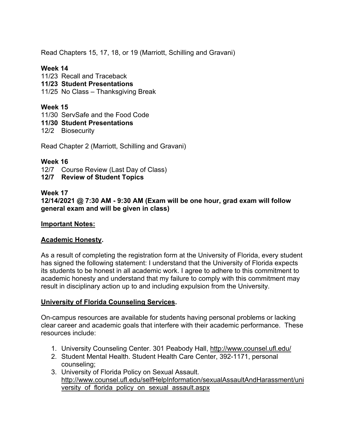Read Chapters 15, 17, 18, or 19 (Marriott, Schilling and Gravani)

# **Week 14**

- 11/23 Recall and Traceback
- **11/23 Student Presentations**
- 11/25 No Class Thanksgiving Break

# **Week 15**

- 11/30 ServSafe and the Food Code
- **11/30 Student Presentations**
- 12/2 Biosecurity

Read Chapter 2 (Marriott, Schilling and Gravani)

### **Week 16**

- 12/7 Course Review (Last Day of Class)
- **12/7 Review of Student Topics**

## **Week 17**

**12/14/2021 @ 7:30 AM - 9:30 AM (Exam will be one hour, grad exam will follow general exam and will be given in class)**

### **Important Notes:**

## **Academic Honesty.**

As a result of completing the registration form at the University of Florida, every student has signed the following statement: I understand that the University of Florida expects its students to be honest in all academic work. I agree to adhere to this commitment to academic honesty and understand that my failure to comply with this commitment may result in disciplinary action up to and including expulsion from the University.

## **University of Florida Counseling Services.**

On-campus resources are available for students having personal problems or lacking clear career and academic goals that interfere with their academic performance. These resources include:

- 1. University Counseling Center. 301 Peabody Hall, http://www.counsel.ufl.edu/
- 2. Student Mental Health. Student Health Care Center, 392-1171, personal counseling;
- 3. University of Florida Policy on Sexual Assault. http://www.counsel.ufl.edu/selfHelpInformation/sexualAssaultAndHarassment/uni versity of florida policy on sexual assault.aspx